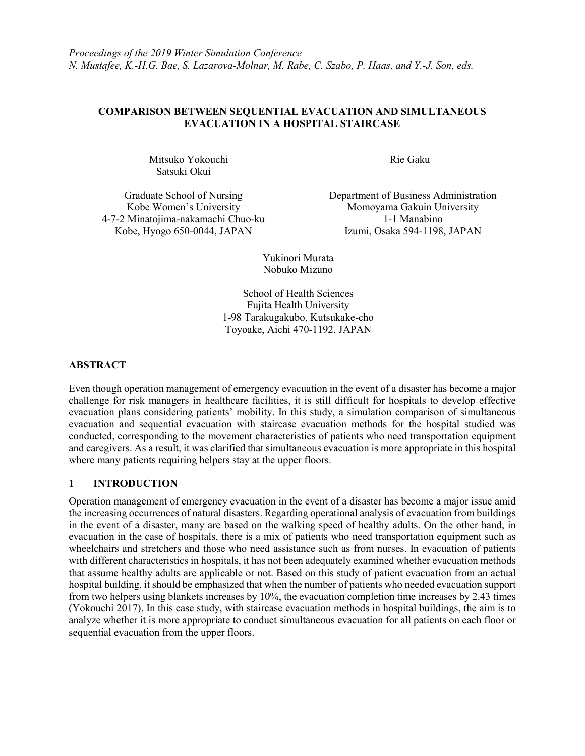### **COMPARISON BETWEEN SEQUENTIAL EVACUATION AND SIMULTANEOUS EVACUATION IN A HOSPITAL STAIRCASE**

Mitsuko Yokouchi Rie Gaku Satsuki Okui

4-7-2 Minatojima-nakamachi Chuo-ku 1-1 Manabino<br>Kobe, Hyogo 650-0044, JAPAN 12umi, Osaka 594-1198

Graduate School of Nursing Department of Business Administration Kobe Women's University **Momoyama Gakuin University** Momoyama Gakuin University Izumi, Osaka 594-1198, JAPAN

> Yukinori Murata Nobuko Mizuno

School of Health Sciences Fujita Health University 1-98 Tarakugakubo, Kutsukake-cho Toyoake, Aichi 470-1192, JAPAN

# **ABSTRACT**

Even though operation management of emergency evacuation in the event of a disaster has become a major challenge for risk managers in healthcare facilities, it is still difficult for hospitals to develop effective evacuation plans considering patients' mobility. In this study, a simulation comparison of simultaneous evacuation and sequential evacuation with staircase evacuation methods for the hospital studied was conducted, corresponding to the movement characteristics of patients who need transportation equipment and caregivers. As a result, it was clarified that simultaneous evacuation is more appropriate in this hospital where many patients requiring helpers stay at the upper floors.

# **1 INTRODUCTION**

Operation management of emergency evacuation in the event of a disaster has become a major issue amid the increasing occurrences of natural disasters. Regarding operational analysis of evacuation from buildings in the event of a disaster, many are based on the walking speed of healthy adults. On the other hand, in evacuation in the case of hospitals, there is a mix of patients who need transportation equipment such as wheelchairs and stretchers and those who need assistance such as from nurses. In evacuation of patients with different characteristics in hospitals, it has not been adequately examined whether evacuation methods that assume healthy adults are applicable or not. Based on this study of patient evacuation from an actual hospital building, it should be emphasized that when the number of patients who needed evacuation support from two helpers using blankets increases by 10%, the evacuation completion time increases by 2.43 times (Yokouchi 2017). In this case study, with staircase evacuation methods in hospital buildings, the aim is to analyze whether it is more appropriate to conduct simultaneous evacuation for all patients on each floor or sequential evacuation from the upper floors.